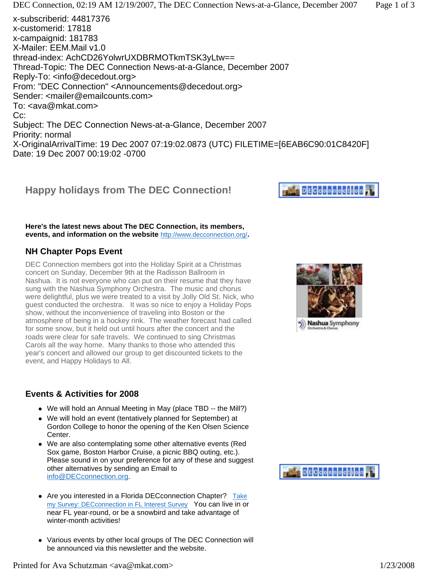# **Happy holidays from The DEC Connection!**

**Here's the latest news about The DEC Connection, its members, events, and information on the website** http://www.decconnection.org/**.**

### **NH Chapter Pops Event**

DEC Connection members got into the Holiday Spirit at a Christmas concert on Sunday, December 9th at the Radisson Ballroom in Nashua. It is not everyone who can put on their resume that they have sung with the Nashua Symphony Orchestra. The music and chorus were delightful, plus we were treated to a visit by Jolly Old St. Nick, who guest conducted the orchestra. It was so nice to enjoy a Holiday Pops show, without the inconvenience of traveling into Boston or the atmosphere of being in a hockey rink. The weather forecast had called for some snow, but it held out until hours after the concert and the roads were clear for safe travels. We continued to sing Christmas Carols all the way home. Many thanks to those who attended this year's concert and allowed our group to get discounted tickets to the event, and Happy Holidays to All.

### **Events & Activities for 2008**

- We will hold an Annual Meeting in May (place TBD -- the Mill?)
- We will hold an event (tentatively planned for September) at Gordon College to honor the opening of the Ken Olsen Science Center.
- We are also contemplating some other alternative events (Red Sox game, Boston Harbor Cruise, a picnic BBQ outing, etc.). Please sound in on your preference for any of these and suggest other alternatives by sending an Email to info@DECconnection.org.
- Are you interested in a Florida DECconnection Chapter? Take my Survey: DECconnection in FL Interest Survey You can live in or near FL year-round, or be a snowbird and take advantage of winter-month activities!
- Various events by other local groups of The DEC Connection will be announced via this newsletter and the website.





# **DECcoppection**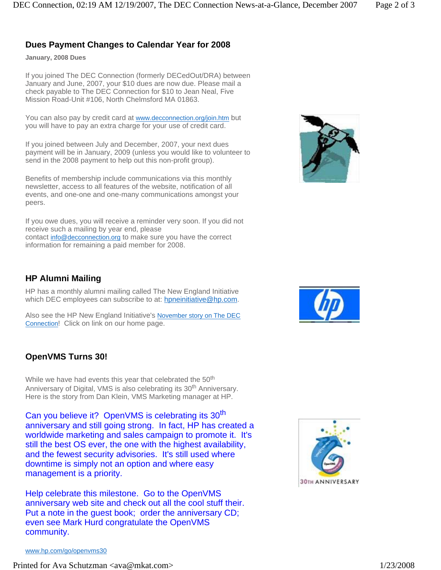## **Dues Payment Changes to Calendar Year for 2008**

**January, 2008 Dues** 

If you joined The DEC Connection (formerly DECedOut/DRA) between January and June, 2007, your \$10 dues are now due. Please mail a check payable to The DEC Connection for \$10 to Jean Neal, Five Mission Road-Unit #106, North Chelmsford MA 01863.

You can also pay by credit card at www.decconnection.org/join.htm but you will have to pay an extra charge for your use of credit card.

If you joined between July and December, 2007, your next dues payment will be in January, 2009 (unless you would like to volunteer to send in the 2008 payment to help out this non-profit group).

Benefits of membership include communications via this monthly newsletter, access to all features of the website, notification of all events, and one-one and one-many communications amongst your peers.

If you owe dues, you will receive a reminder very soon. If you did not receive such a mailing by year end, please contact info@decconnection.org to make sure you have the correct information for remaining a paid member for 2008.

### **HP Alumni Mailing**

HP has a monthly alumni mailing called The New England Initiative which DEC employees can subscribe to at: hpneinitiative@hp.com.

Also see the HP New England Initiative's November story on The DEC Connection! Click on link on our home page.

### **OpenVMS Turns 30!**

While we have had events this year that celebrated the 50<sup>th</sup> Anniversary of Digital, VMS is also celebrating its 30<sup>th</sup> Anniversary. Here is the story from Dan Klein, VMS Marketing manager at HP.

Can you believe it? OpenVMS is celebrating its 30<sup>th</sup> anniversary and still going strong. In fact, HP has created a worldwide marketing and sales campaign to promote it. It's still the best OS ever, the one with the highest availability, and the fewest security advisories. It's still used where downtime is simply not an option and where easy management is a priority.

Help celebrate this milestone. Go to the OpenVMS anniversary web site and check out all the cool stuff their. Put a note in the guest book; order the anniversary CD; even see Mark Hurd congratulate the OpenVMS community.